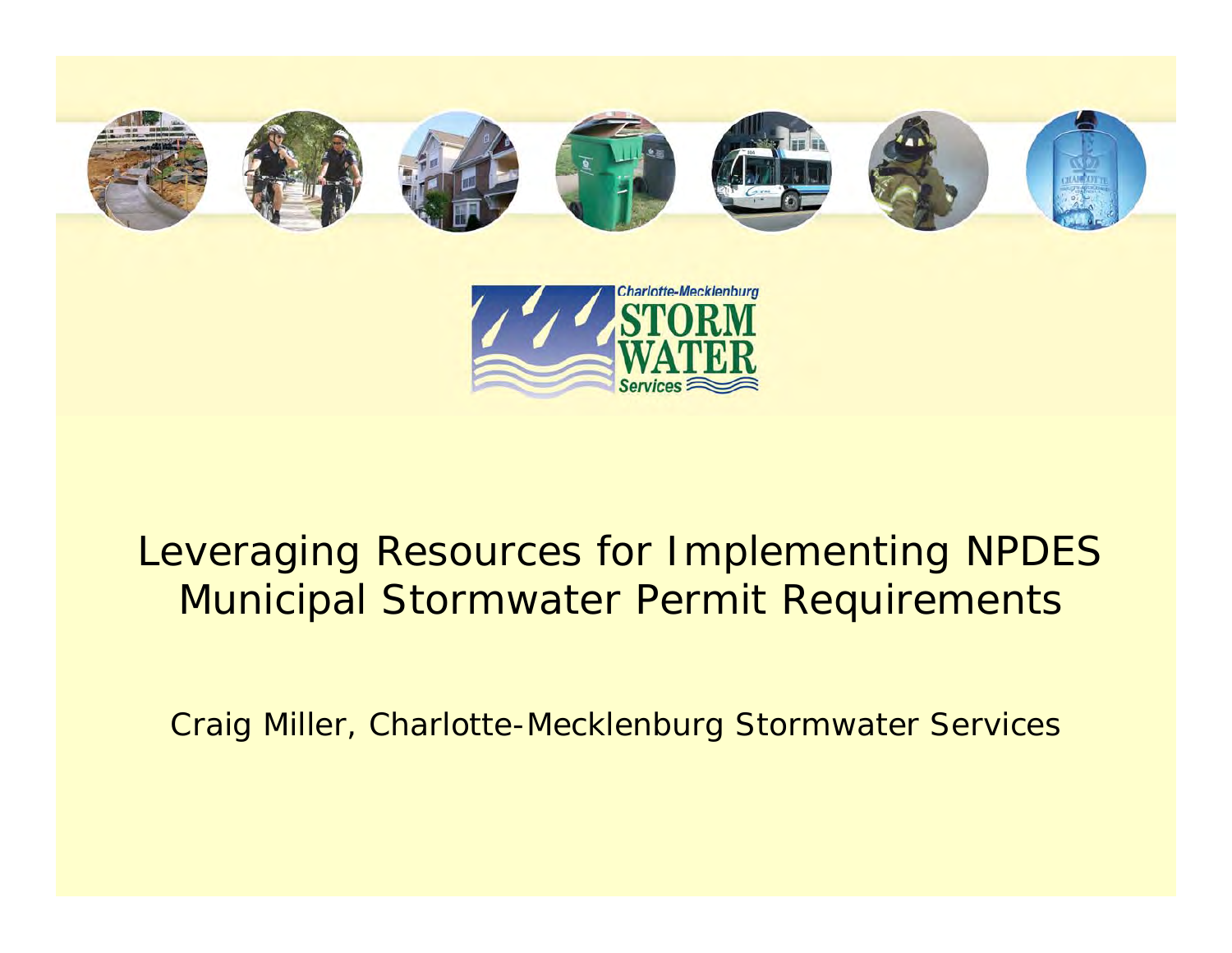



## Leveraging Resources for Implementing NPDES Municipal Stormwater Permit Requirements

Craig Miller, Charlotte-Mecklenburg Stormwater Services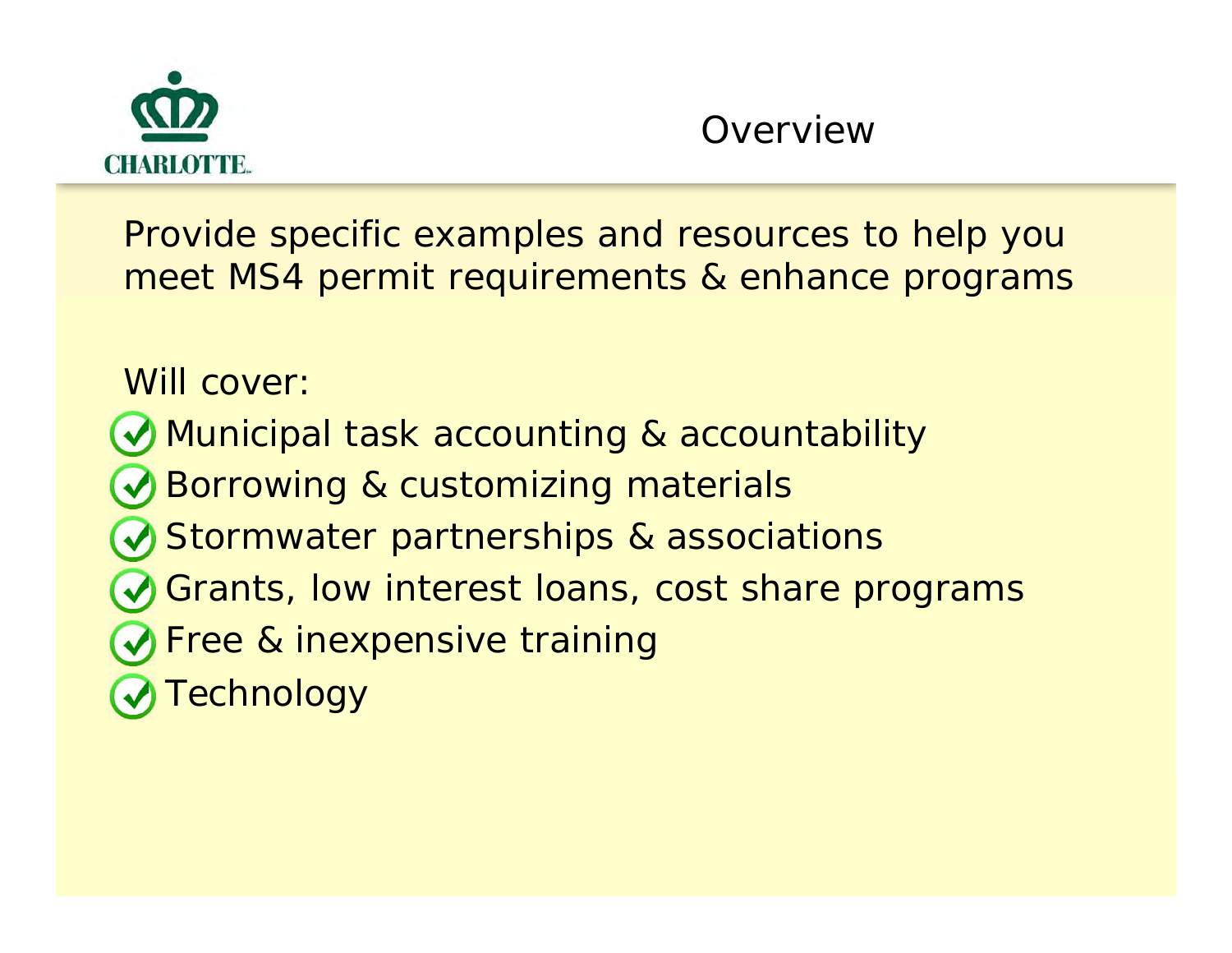

Provide specific examples and resources to help you meet MS4 permit requirements & enhance programs

Will cover:

Municipal task accounting & accountability

Borrowing & customizing materials

Stormwater partnerships & associations

- Grants, low interest loans, cost share programs
- Free & inexpensive training
- Technology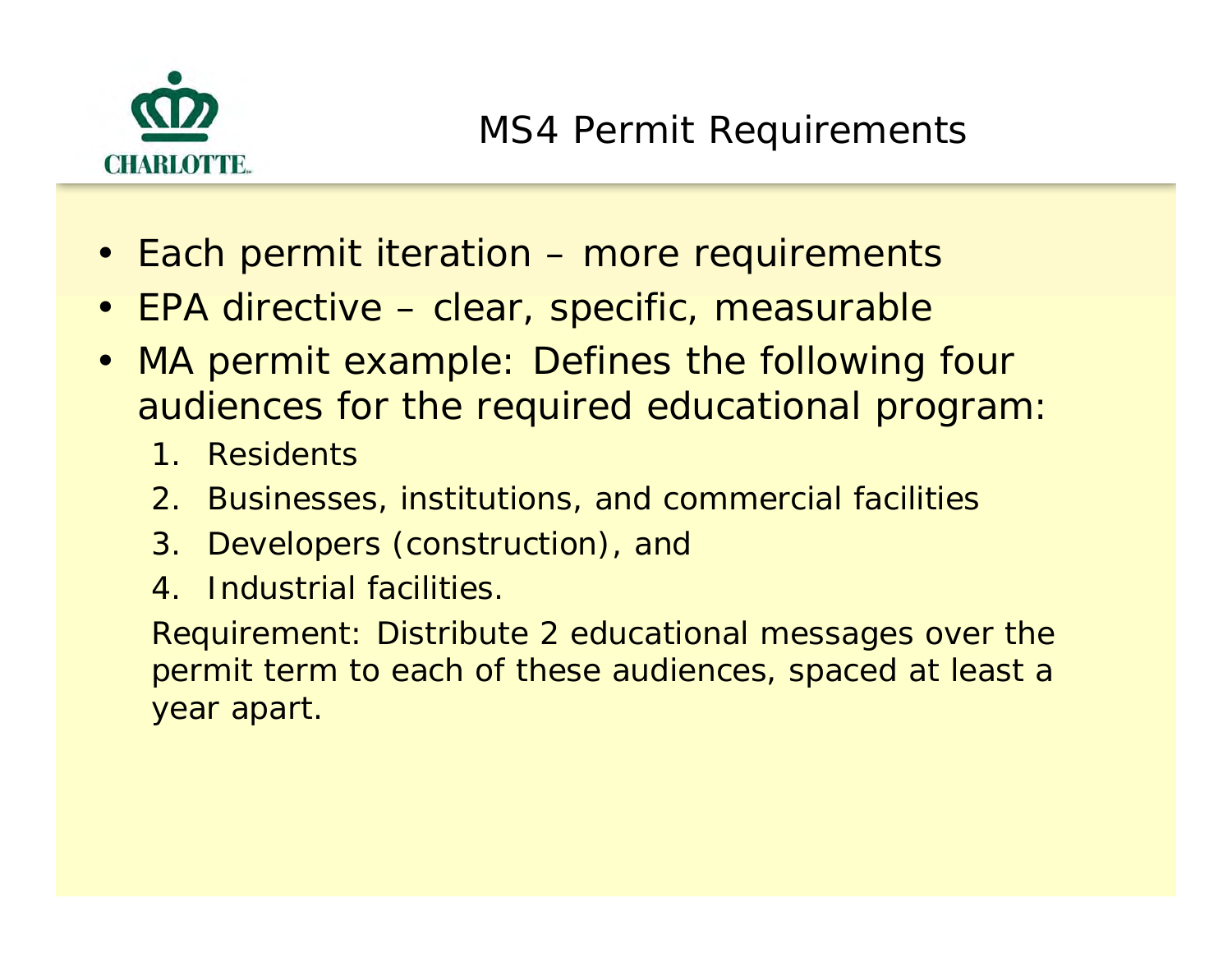

- Each permit iteration more requirements
- EPA directive clear, specific, measurable
- MA permit example: Defines the following four audiences for the required educational program:
	- 1. Residents
	- 2. Businesses, institutions, and commercial facilities
	- 3. Developers (construction), and
	- 4. Industrial facilities.

Requirement: Distribute 2 educational messages over the permit term to each of these audiences, spaced at least a year apart.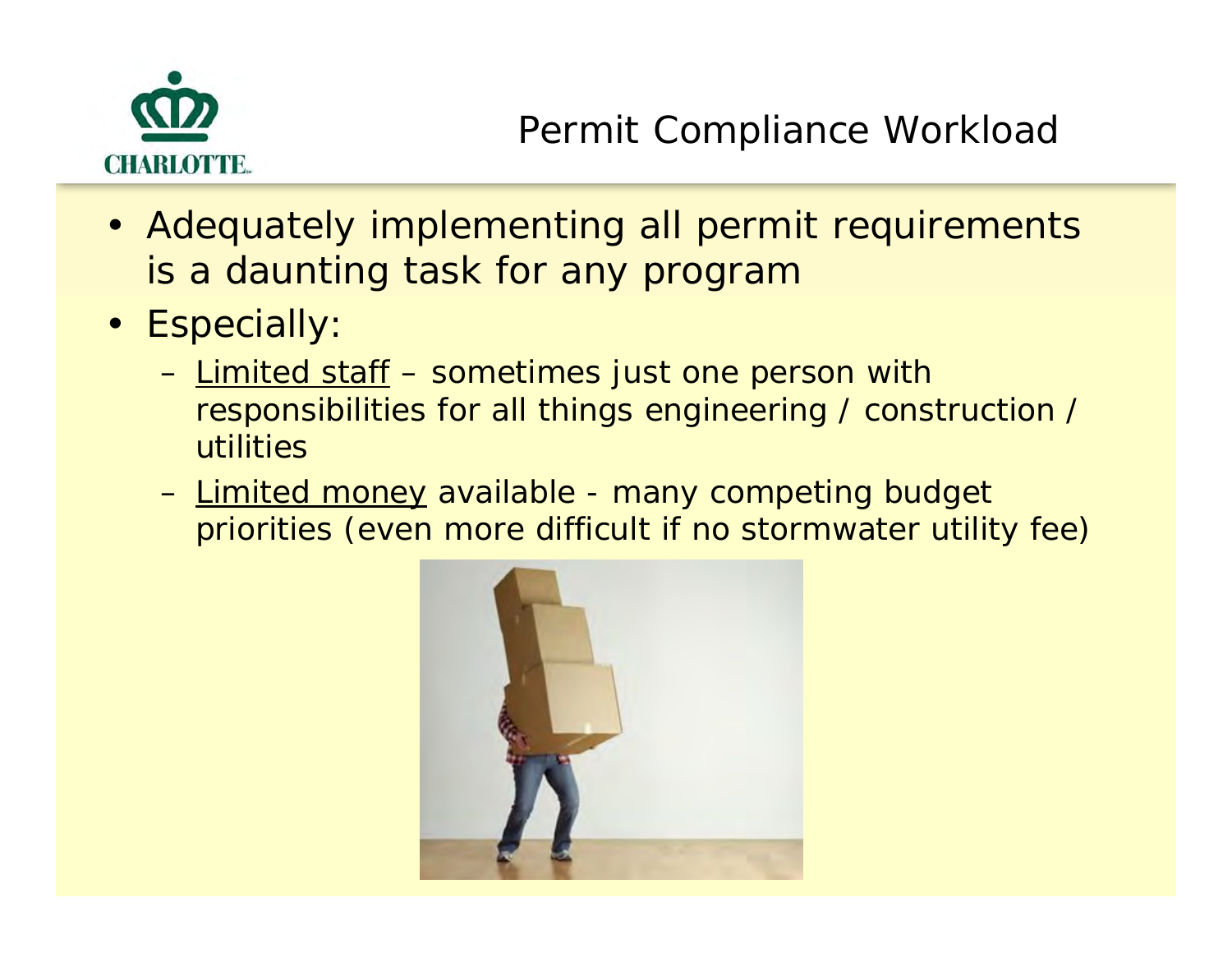

- Adequately implementing all permit requirements is a daunting task for any program
- Especially:
	- Limited staff sometimes just one person with responsibilities for all things engineering / construction / utilities
	- – Limited money available - many competing budget priorities (even more difficult if no stormwater utility fee)

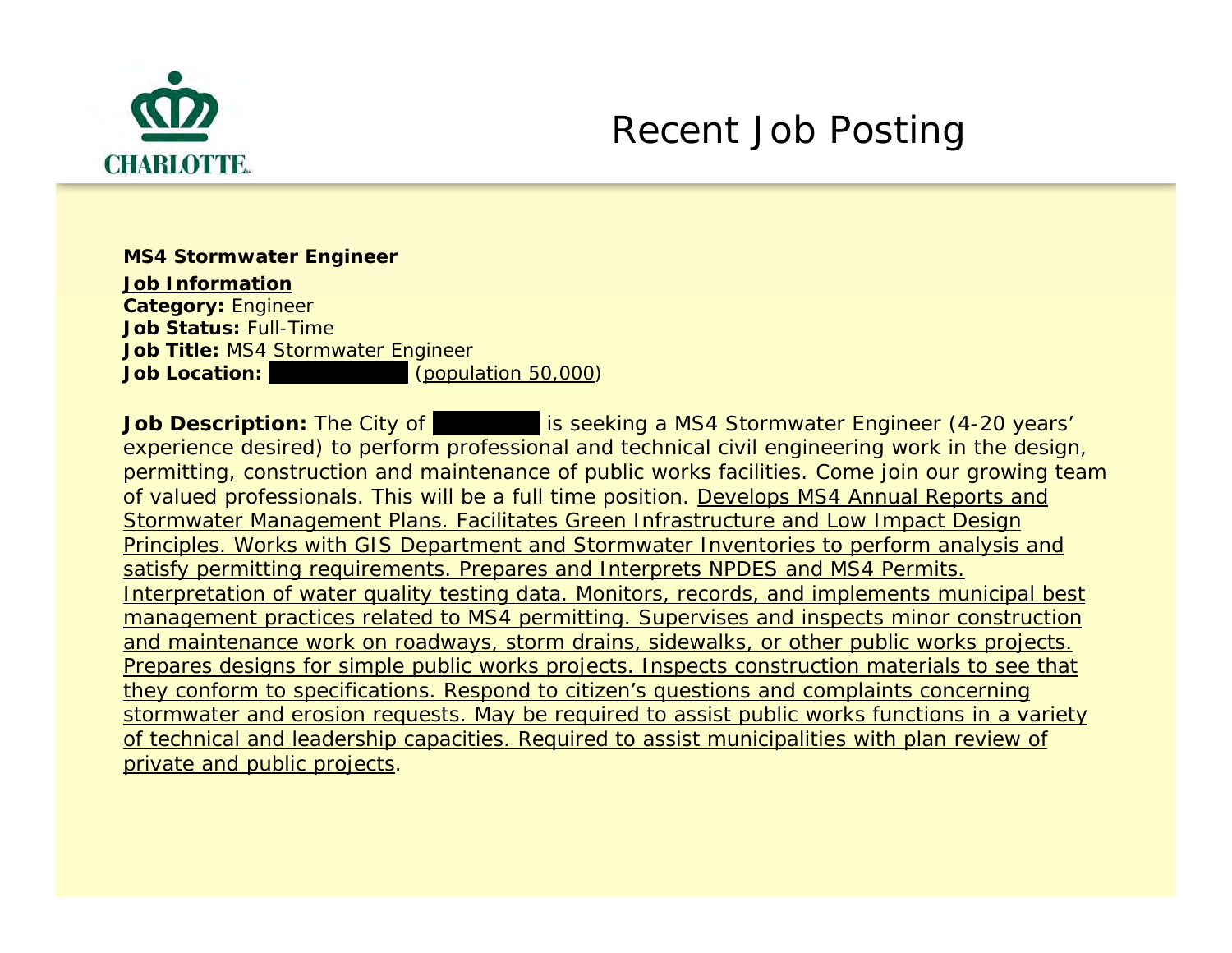

**MS4 Stormwater Engineer Job Information Category:** Engineer **Job Status:** Full-Time**Job Title:** MS4 Stormwater Engineer **Job Location:** $(population 50,000)$ 

**Job Description:** The City of **Dunk is seeking a MS4 Stormwater Engineer** (4-20 years' experience desired) to perform professional and technical civil engineering work in the design, permitting, construction and maintenance of public works facilities. Come join our growing team of valued professionals. This will be a full time position. Develops MS4 Annual Reports and Stormwater Management Plans. Facilitates Green Infrastructure and Low Impact Design Principles. Works with GIS Department and Stormwater Inventories to perform analysis and satisfy permitting requirements. Prepares and Interprets NPDES and MS4 Permits. Interpretation of water quality testing data. Monitors, records, and implements municipal best management practices related to MS4 permitting. Supervises and inspects minor construction and maintenance work on roadways, storm drains, sidewalks, or other public works projects. Prepares designs for simple public works projects. Inspects construction materials to see that they conform to specifications. Respond to citizen's questions and complaints concerning stormwater and erosion requests. May be required to assist public works functions in a variety of technical and leadership capacities. Required to assist municipalities with plan review of private and public projects.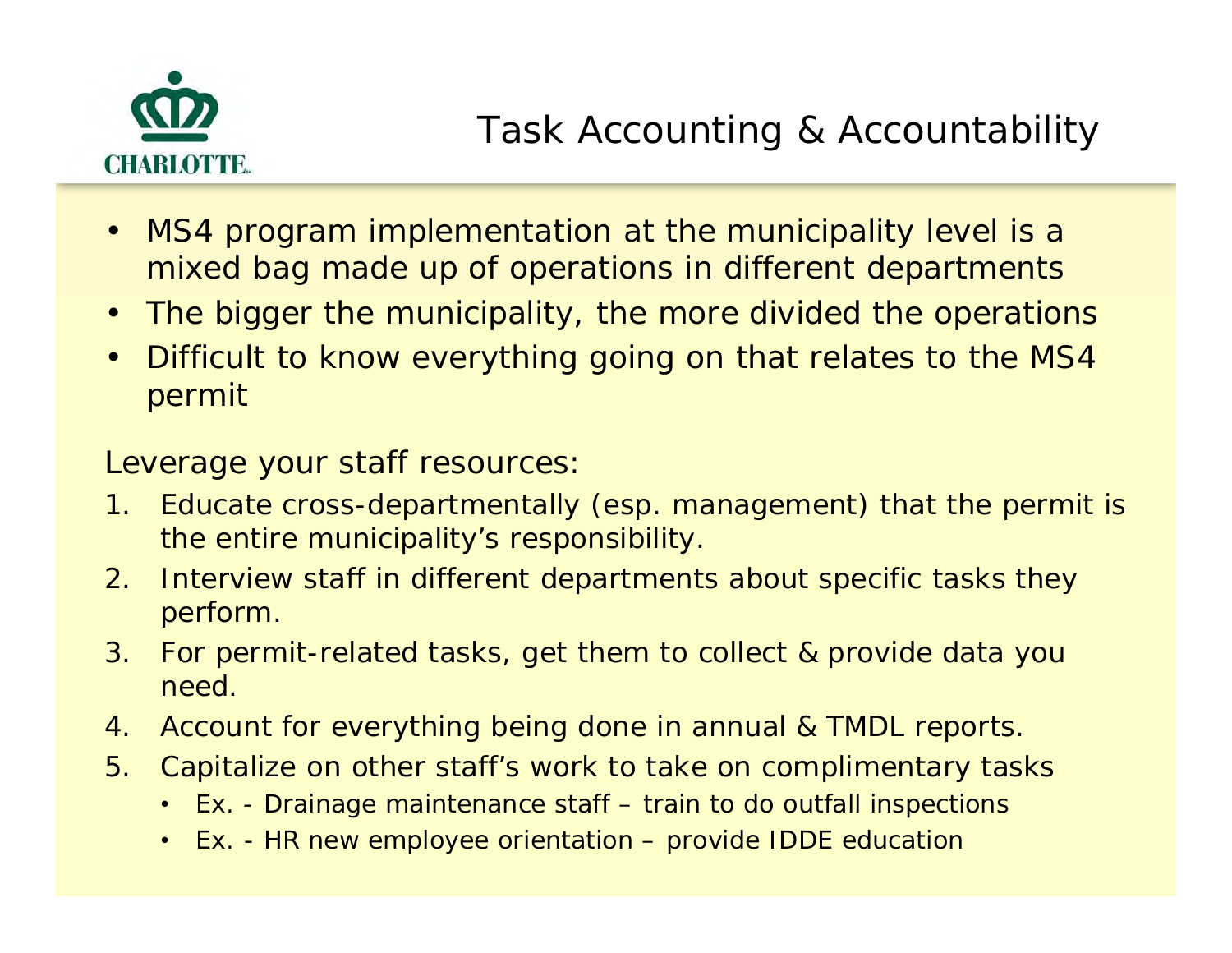

- $\bullet$  MS4 program implementation at the municipality level is a mixed bag made up of operations in different departments
- The bigger the municipality, the more divided the operations
- $\bullet$  Difficult to know everything going on that relates to the MS4 permit

Leverage your staff resources:

- 1. Educate cross-departmentally (esp. management) that the permit is the entire municipality's responsibility.
- 2. Interview staff in different departments about specific tasks they perform.
- 3. For permit-related tasks, get them to collect & provide data you need.
- 4. Account for everything being done in annual & TMDL reports.
- 5. Capitalize on other staff's work to take on complimentary tasks
	- Ex. Drainage maintenance staff train to do outfall inspections
	- Ex. HR new employee orientation provide IDDE education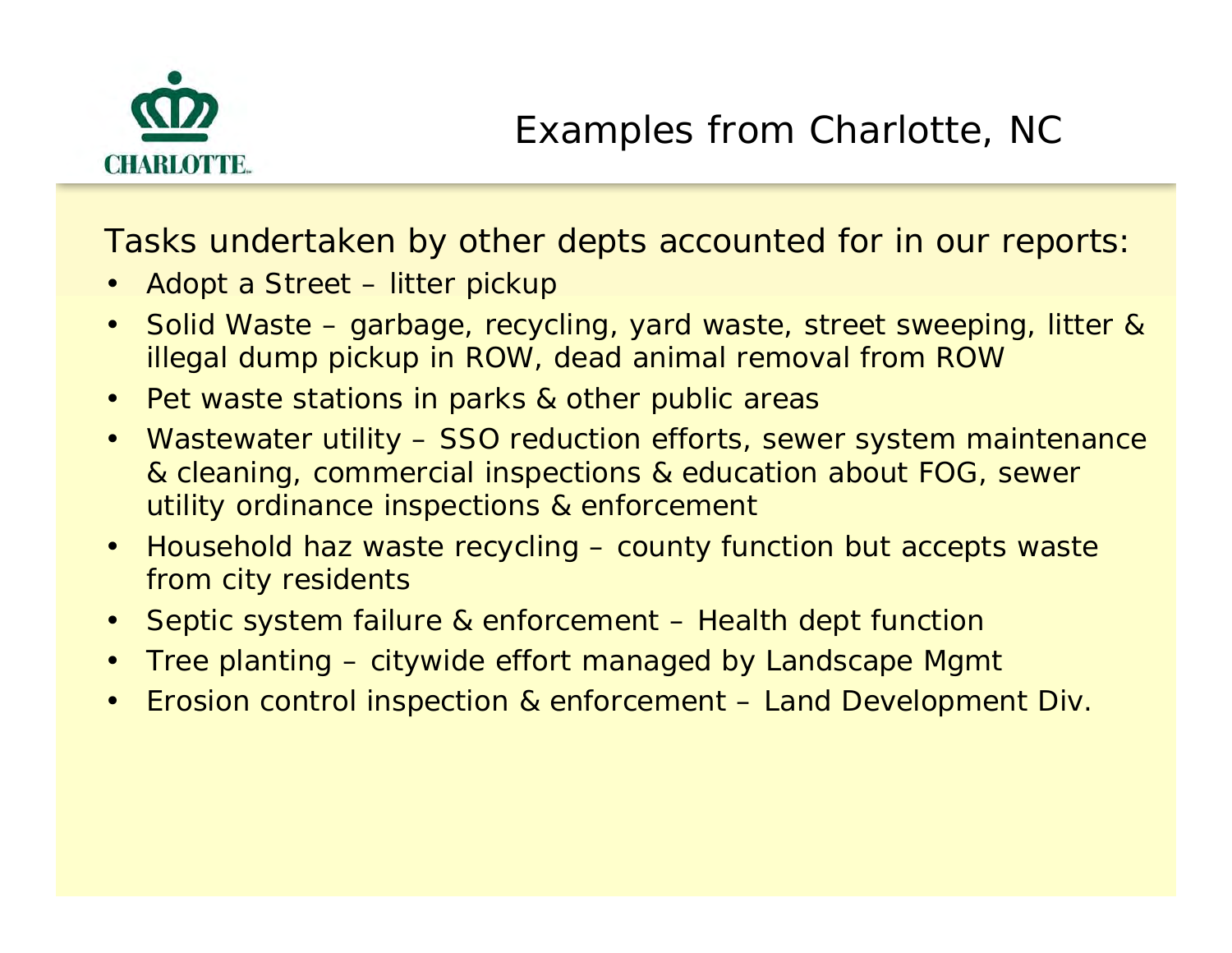

Tasks undertaken by other depts accounted for in our reports:

- $\bullet$ Adopt a Street – litter pickup
- • Solid Waste – garbage, recycling, yard waste, street sweeping, litter & illegal dump pickup in ROW, dead animal removal from ROW
- $\bullet$ Pet waste stations in parks & other public areas
- $\bullet$  Wastewater utility – SSO reduction efforts, sewer system maintenance & cleaning, commercial inspections & education about FOG, sewer utility ordinance inspections & enforcement
- $\bullet$  Household haz waste recycling – county function but accepts waste from city residents
- $\bullet$ Septic system failure & enforcement – Health dept function
- $\bullet$ Tree planting – citywide effort managed by Landscape Mgmt
- $\bullet$ Erosion control inspection & enforcement – Land Development Div.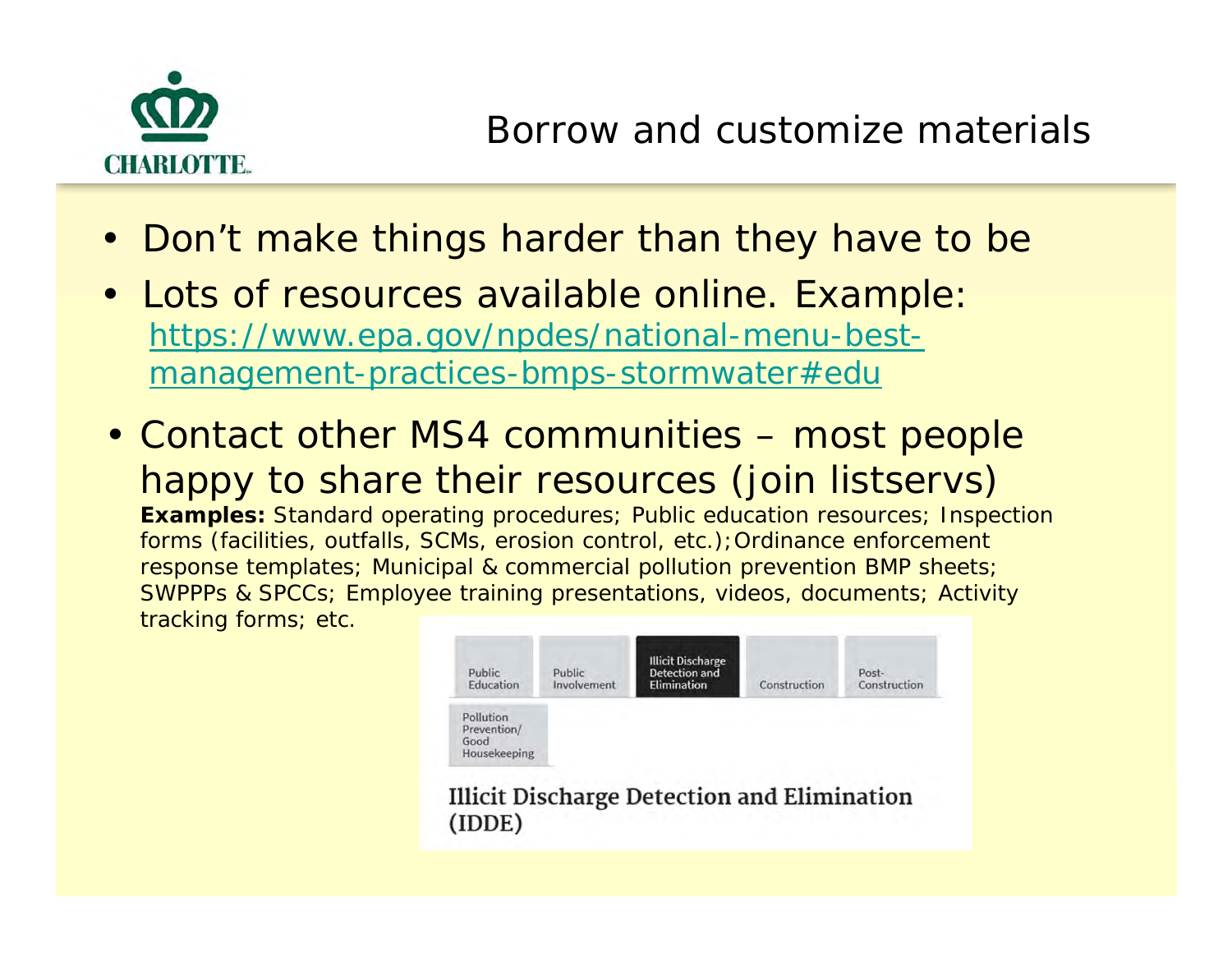

- Don't make things harder than they have to be
- Lots of resources available online. Example: https://www.epa.gov/npdes/national-menu-bestmanagement-practices-bmps-stormwater#edu
- Contact other MS4 communities most people happy to share their resources (join listservs) **Examples:** Standard operating procedures; Public education resources; Inspection forms (facilities, outfalls, SCMs, erosion control, etc.);Ordinance enforcement response templates; Municipal & commercial pollution prevention BMP sheets; SWPPPs & SPCCs; Employee training presentations, videos, documents; Activity tracking forms; etc.

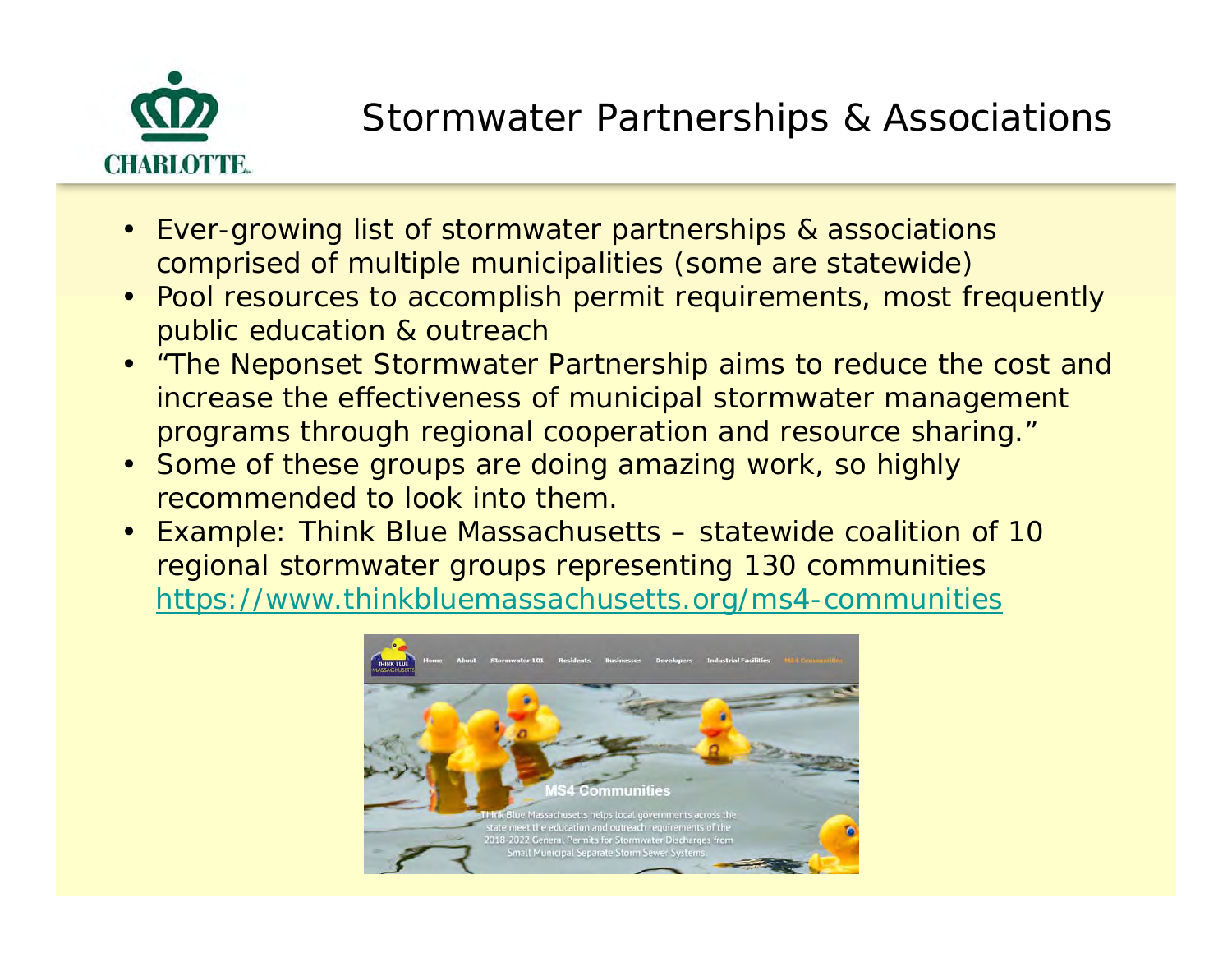

### Stormwater Partnerships & Associations

- Ever-growing list of stormwater partnerships & associations comprised of multiple municipalities (some are statewide)
- Pool resources to accomplish permit requirements, most frequently public education & outreach
- *"The Neponset Stormwater Partnership aims to reduce the cost and increase the effectiveness of municipal stormwater management programs through regional cooperation and resource sharing."*
- Some of these groups are doing amazing work, so highly recommended to look into them.
- Example: Think Blue Massachusetts statewide coalition of 10 regional stormwater groups representing 130 communities https://www.thinkbluemassachusetts.org/ms4-communities

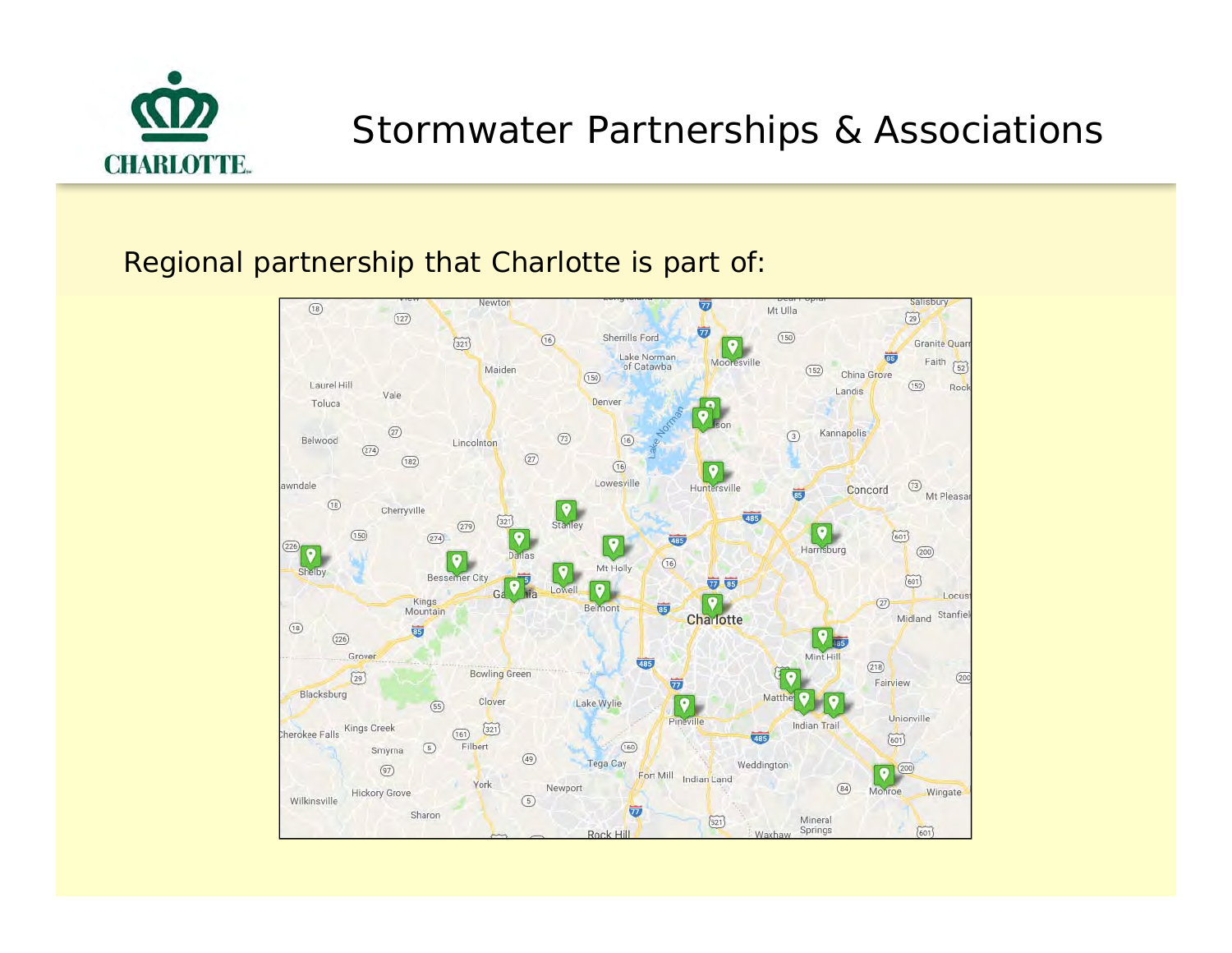

#### Stormwater Partnerships & Associations

Regional partnership that Charlotte is part of:

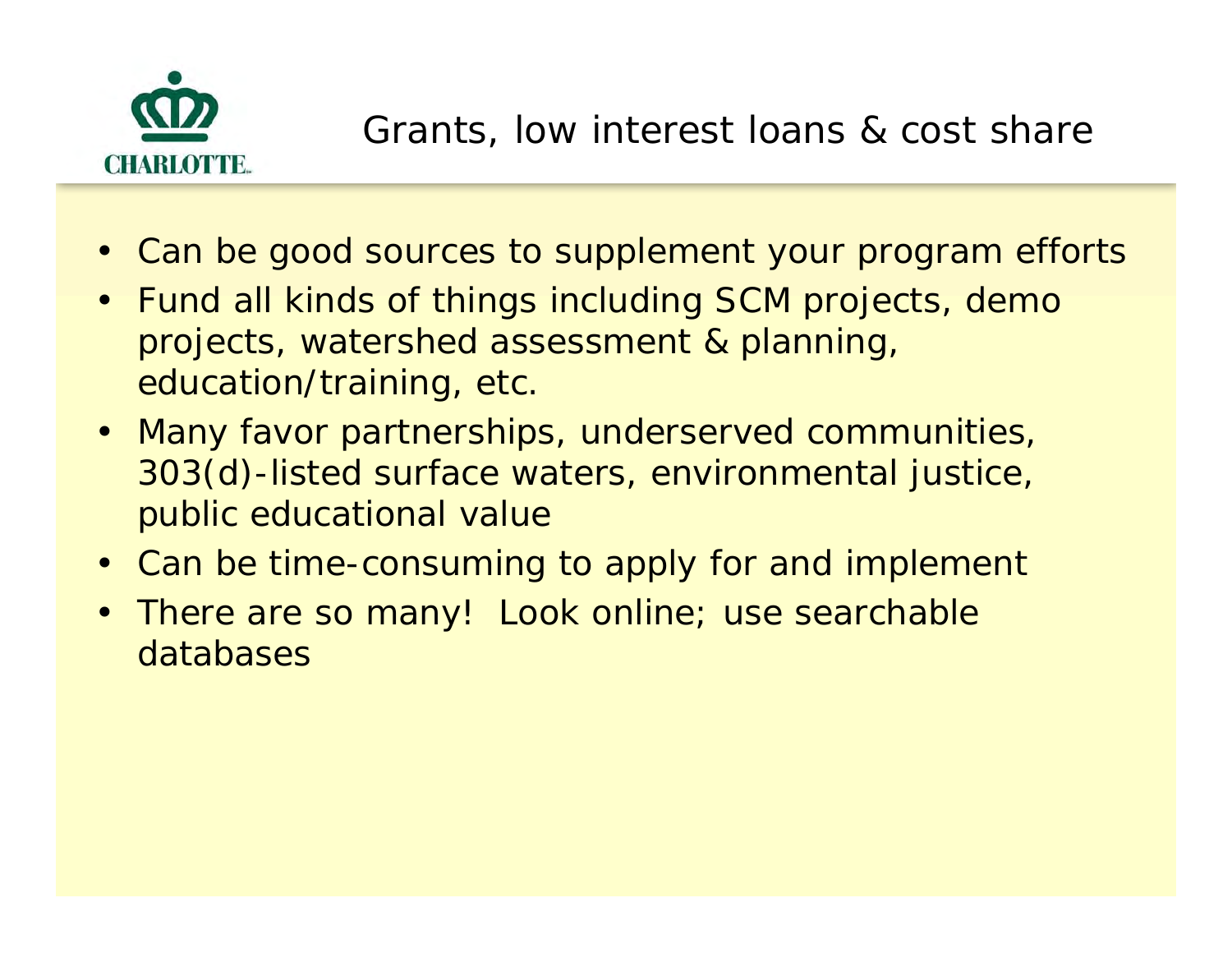

- Can be good sources to supplement your program efforts
- Fund all kinds of things including SCM projects, demo projects, watershed assessment & planning, education/training, etc.
- Many favor partnerships, underserved communities, 303(d)-listed surface waters, environmental justice, public educational value
- Can be time-consuming to apply for and implement
- There are so many! Look online; use searchable databases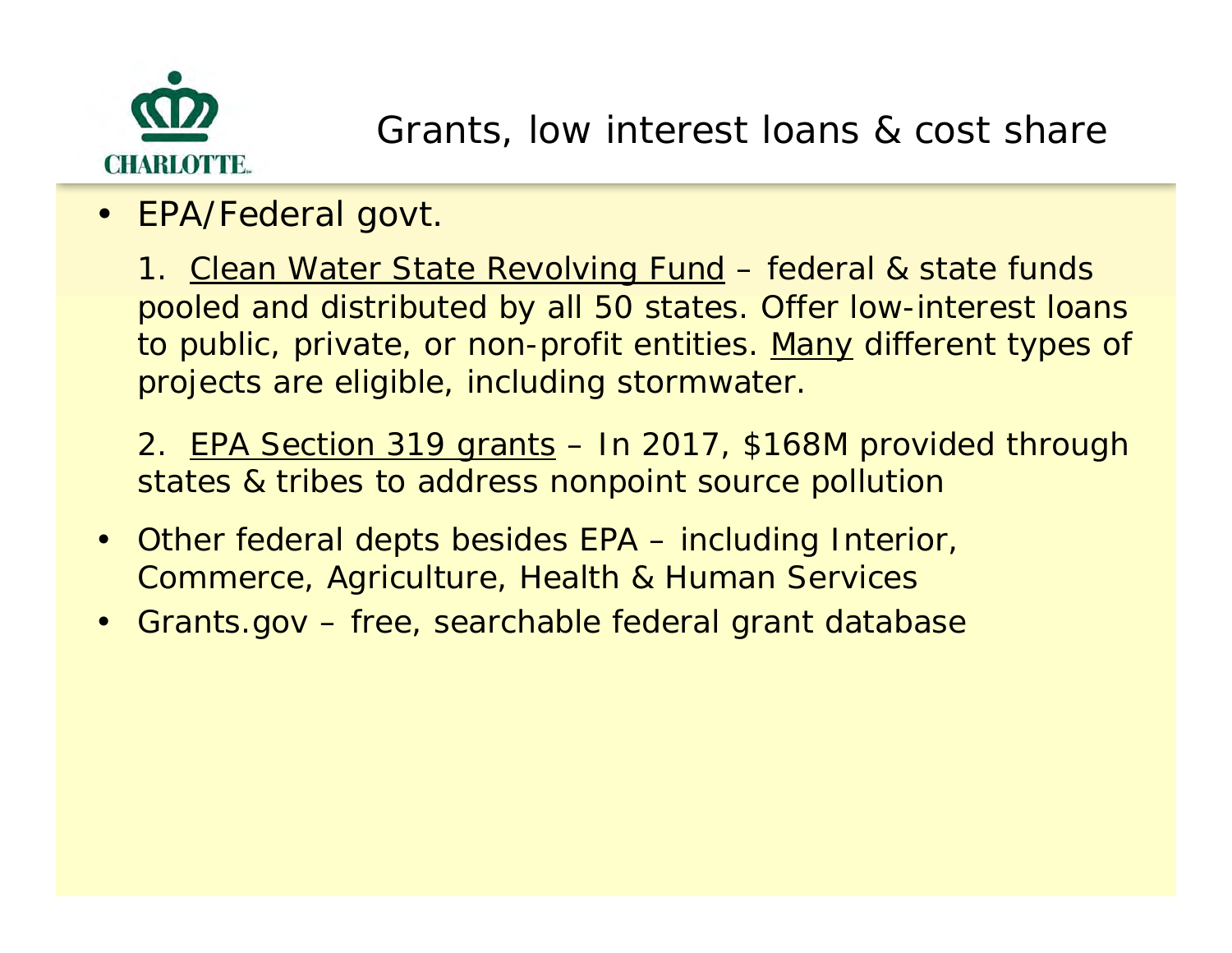

 $\bullet$ EPA/Federal govt.

> 1. Clean Water State Revolving Fund - federal & state funds pooled and distributed by all 50 states. Offer low-interest loans to public, private, or non-profit entities. Many different types of projects are eligible, including stormwater.

> 2. EPA Section 319 grants – In 2017, \$168M provided through states & tribes to address nonpoint source pollution

- $\bullet$  Other federal depts besides EPA – including Interior, Commerce, Agriculture, Health & Human Services
- •Grants.gov – free, searchable federal grant database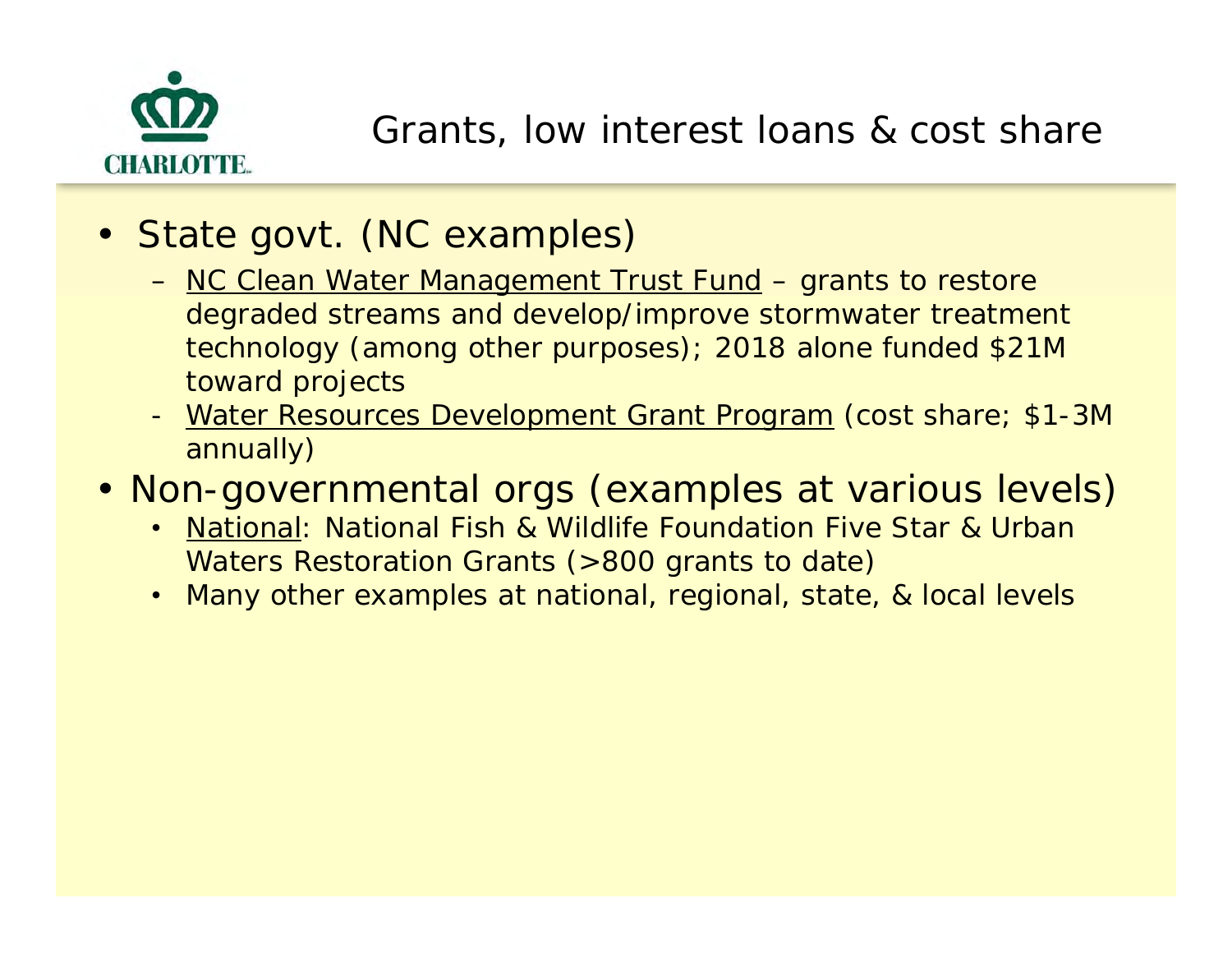

- State govt. (NC examples)
	- NC Clean Water Management Trust Fund grants to restore degraded streams and develop/improve stormwater treatment technology (among other purposes); 2018 alone funded \$21M toward projects
	- Water Resources Development Grant Program (cost share; \$1-3M annually)
- Non-governmental orgs (examples at various levels)
	- National: National Fish & Wildlife Foundation Five Star & Urban Waters Restoration Grants (>800 grants to date)
	- Many other examples at national, regional, state, & local levels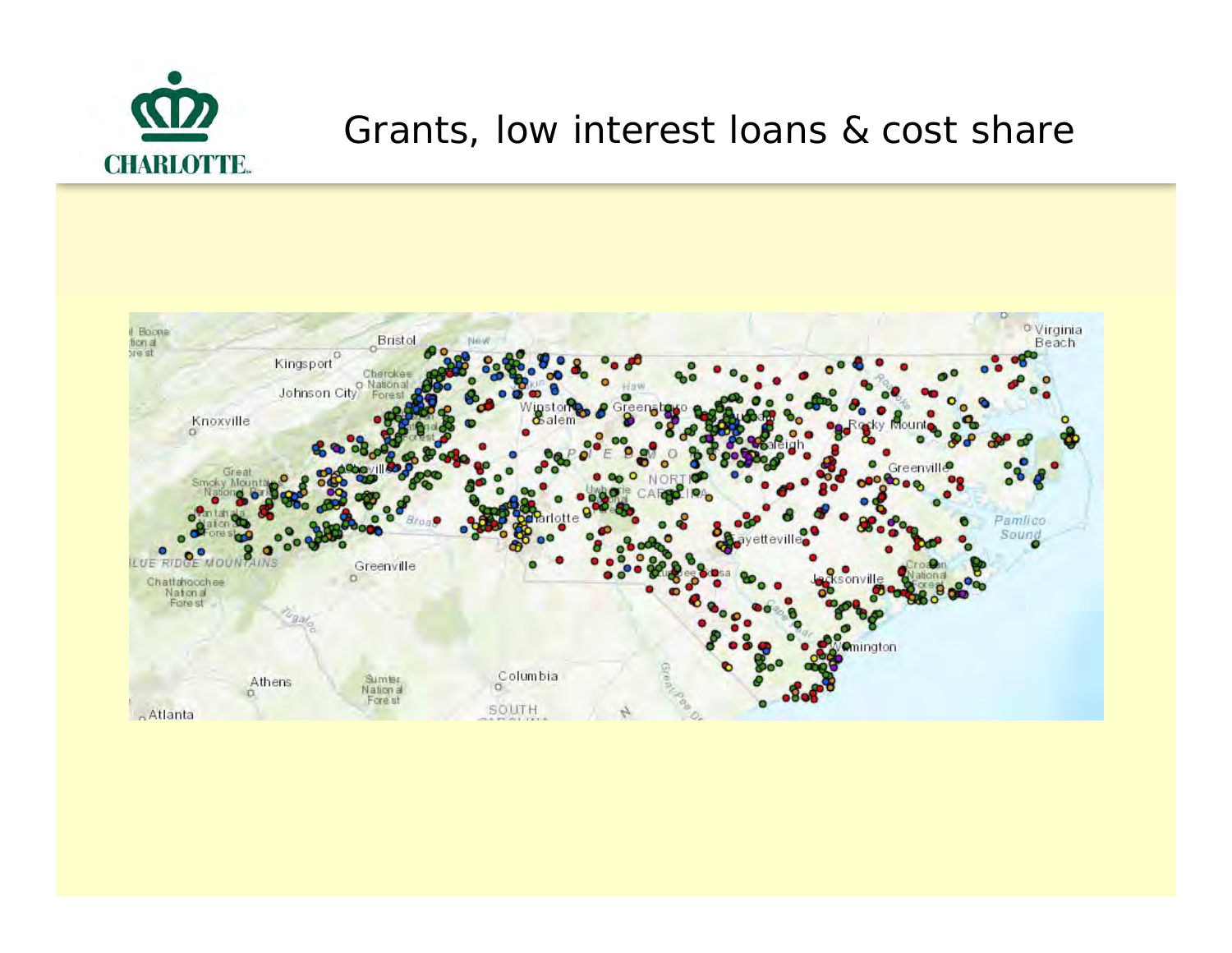

#### Grants, low interest loans & cost share

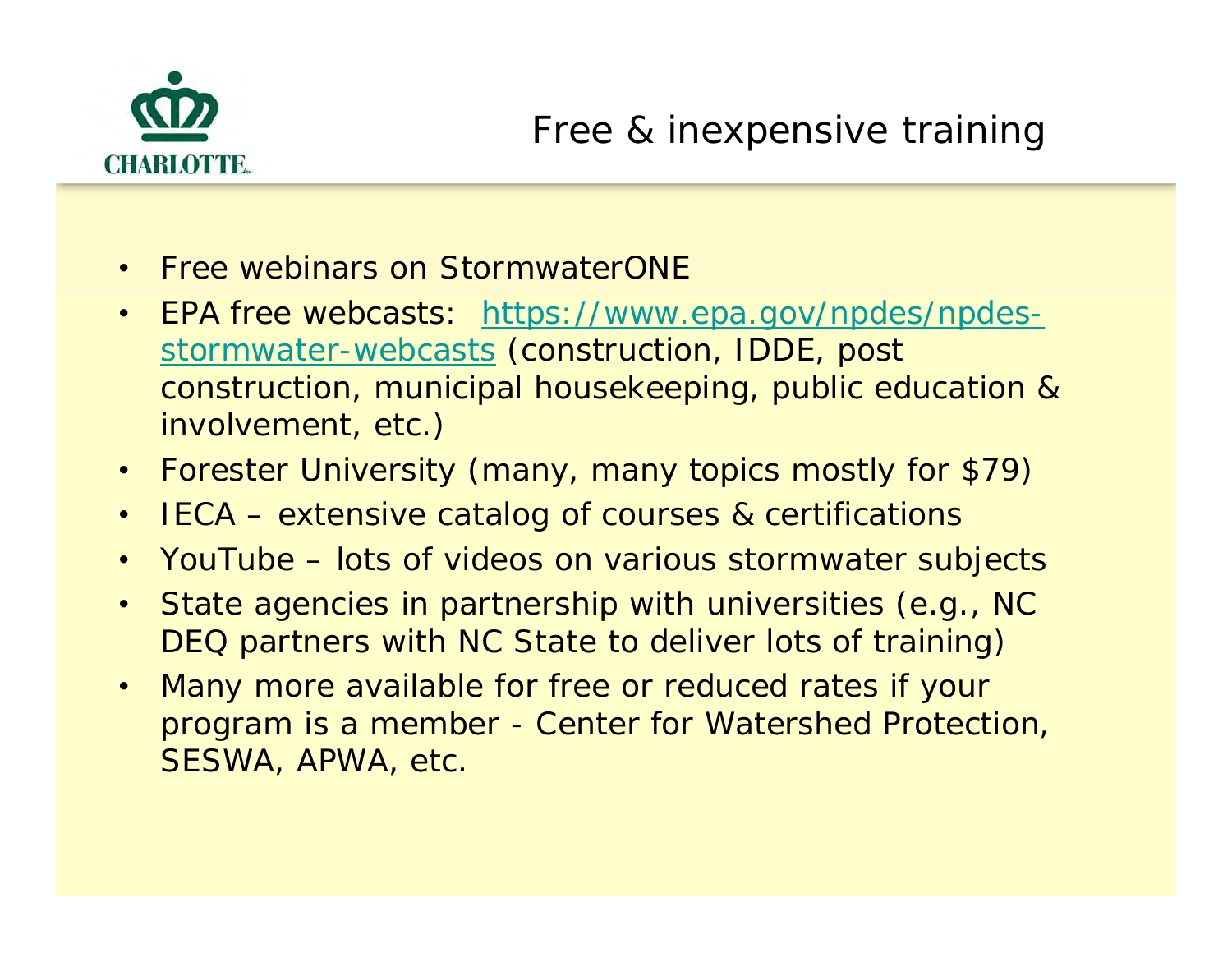

- Free webinars on StormwaterONE
- EPA free webcasts: https://www.epa.gov/npdes/npdesstormwater-webcasts (construction, IDDE, post construction, municipal housekeeping, public education & involvement, etc.)
- Forester University (many, many topics mostly for \$79)
- IECA extensive catalog of courses & certifications
- YouTube lots of videos on various stormwater subjects
- • State agencies in partnership with universities (e.g., NC DEQ partners with NC State to deliver lots of training)
- $\bullet$  Many more available for free or reduced rates if your program is a member - Center for Watershed Protection, SESWA, APWA, etc.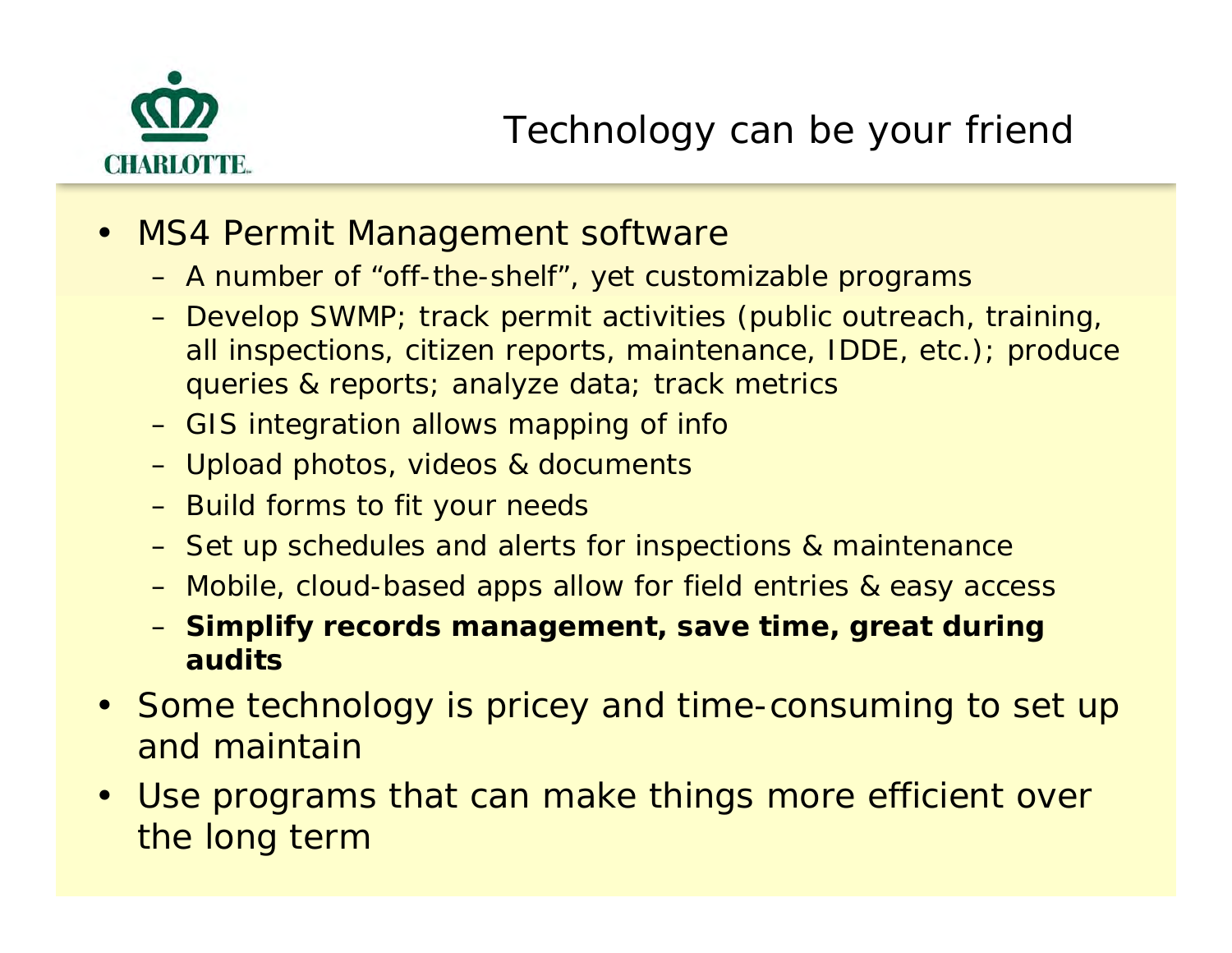

- • MS4 Permit Management software
	- A number of "off-the-shelf", yet customizable programs
	- Develop SWMP; track permit activities (public outreach, training, all inspections, citizen reports, maintenance, IDDE, etc.); produce queries & reports; analyze data; track metrics
	- GIS integration allows mapping of info
	- Upload photos, videos & documents
	- Build forms to fit your needs
	- Set up schedules and alerts for inspections & maintenance
	- Mobile, cloud-based apps allow for field entries & easy access
	- **Simplify records management, save time, great during audits**
- Some technology is pricey and time-consuming to set up and maintain
- Use programs that can make things more efficient over the long term